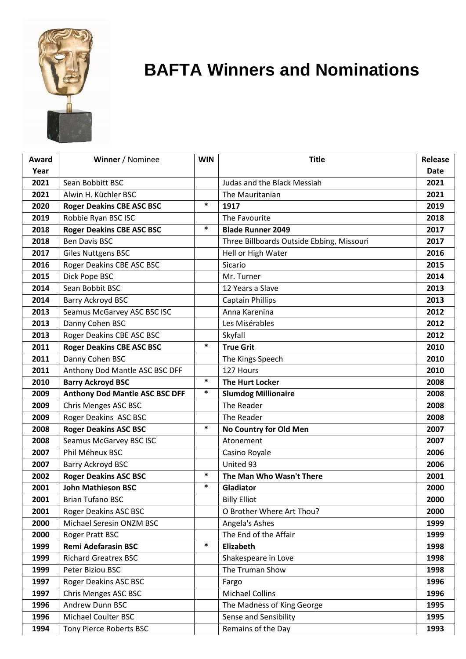

## **BAFTA Winners and Nominations**

| Award | Winner / Nominee                      | <b>WIN</b> | <b>Title</b>                              | Release |
|-------|---------------------------------------|------------|-------------------------------------------|---------|
| Year  |                                       |            |                                           | Date    |
| 2021  | Sean Bobbitt BSC                      |            | Judas and the Black Messiah               | 2021    |
| 2021  | Alwin H. Küchler BSC                  |            | The Mauritanian                           | 2021    |
| 2020  | <b>Roger Deakins CBE ASC BSC</b>      | $\ast$     | 1917                                      | 2019    |
| 2019  | Robbie Ryan BSC ISC                   |            | The Favourite                             | 2018    |
| 2018  | <b>Roger Deakins CBE ASC BSC</b>      | $\ast$     | <b>Blade Runner 2049</b>                  | 2017    |
| 2018  | <b>Ben Davis BSC</b>                  |            | Three Billboards Outside Ebbing, Missouri | 2017    |
| 2017  | <b>Giles Nuttgens BSC</b>             |            | Hell or High Water                        | 2016    |
| 2016  | Roger Deakins CBE ASC BSC             |            | Sicario                                   | 2015    |
| 2015  | Dick Pope BSC                         |            | Mr. Turner                                | 2014    |
| 2014  | Sean Bobbit BSC                       |            | 12 Years a Slave                          | 2013    |
| 2014  | Barry Ackroyd BSC                     |            | <b>Captain Phillips</b>                   | 2013    |
| 2013  | Seamus McGarvey ASC BSC ISC           |            | Anna Karenina                             | 2012    |
| 2013  | Danny Cohen BSC                       |            | Les Misérables                            | 2012    |
| 2013  | Roger Deakins CBE ASC BSC             |            | Skyfall                                   | 2012    |
| 2011  | <b>Roger Deakins CBE ASC BSC</b>      | $\ast$     | <b>True Grit</b>                          | 2010    |
| 2011  | Danny Cohen BSC                       |            | The Kings Speech                          | 2010    |
| 2011  | Anthony Dod Mantle ASC BSC DFF        |            | 127 Hours                                 | 2010    |
| 2010  | <b>Barry Ackroyd BSC</b>              | *          | <b>The Hurt Locker</b>                    | 2008    |
| 2009  | <b>Anthony Dod Mantle ASC BSC DFF</b> | *          | <b>Slumdog Millionaire</b>                | 2008    |
| 2009  | Chris Menges ASC BSC                  |            | The Reader                                | 2008    |
| 2009  | Roger Deakins ASC BSC                 |            | The Reader                                | 2008    |
| 2008  | <b>Roger Deakins ASC BSC</b>          | $\ast$     | No Country for Old Men                    | 2007    |
| 2008  | Seamus McGarvey BSC ISC               |            | Atonement                                 | 2007    |
| 2007  | Phil Méheux BSC                       |            | Casino Royale                             | 2006    |
| 2007  | Barry Ackroyd BSC                     |            | United 93                                 | 2006    |
| 2002  | <b>Roger Deakins ASC BSC</b>          | $\ast$     | The Man Who Wasn't There                  | 2001    |
| 2001  | <b>John Mathieson BSC</b>             | $\ast$     | Gladiator                                 | 2000    |
| 2001  | <b>Brian Tufano BSC</b>               |            | <b>Billy Elliot</b>                       | 2000    |
| 2001  | <b>Roger Deakins ASC BSC</b>          |            | O Brother Where Art Thou?                 | 2000    |
| 2000  | Michael Seresin ONZM BSC              |            | Angela's Ashes                            | 1999    |
| 2000  | Roger Pratt BSC                       |            | The End of the Affair                     | 1999    |
| 1999  | <b>Remi Adefarasin BSC</b>            | $\ast$     | Elizabeth                                 | 1998    |
| 1999  | <b>Richard Greatrex BSC</b>           |            | Shakespeare in Love                       | 1998    |
| 1999  | Peter Biziou BSC                      |            | The Truman Show                           | 1998    |
| 1997  | Roger Deakins ASC BSC                 |            | Fargo                                     | 1996    |
| 1997  | Chris Menges ASC BSC                  |            | <b>Michael Collins</b>                    | 1996    |
| 1996  | Andrew Dunn BSC                       |            | The Madness of King George                | 1995    |
| 1996  | <b>Michael Coulter BSC</b>            |            | Sense and Sensibility                     | 1995    |
| 1994  | Tony Pierce Roberts BSC               |            | Remains of the Day                        | 1993    |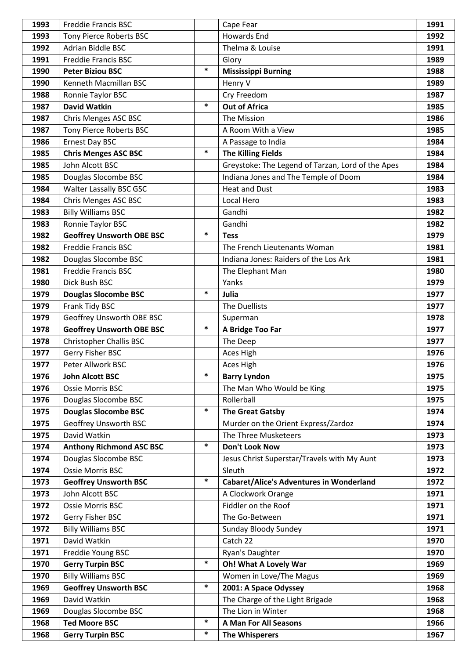| 1993 | <b>Freddie Francis BSC</b>       |        | Cape Fear                                         | 1991 |
|------|----------------------------------|--------|---------------------------------------------------|------|
| 1993 | Tony Pierce Roberts BSC          |        | <b>Howards End</b>                                | 1992 |
| 1992 | Adrian Biddle BSC                |        | Thelma & Louise                                   | 1991 |
| 1991 | Freddie Francis BSC              |        | Glory                                             | 1989 |
| 1990 | <b>Peter Biziou BSC</b>          | $\ast$ | <b>Mississippi Burning</b>                        | 1988 |
| 1990 | Kenneth Macmillan BSC            |        | Henry V                                           | 1989 |
| 1988 | Ronnie Taylor BSC                |        | Cry Freedom                                       | 1987 |
| 1987 | <b>David Watkin</b>              | $\ast$ | <b>Out of Africa</b>                              | 1985 |
| 1987 | Chris Menges ASC BSC             |        | The Mission                                       | 1986 |
| 1987 | Tony Pierce Roberts BSC          |        | A Room With a View                                | 1985 |
| 1986 | Ernest Day BSC                   |        | A Passage to India                                | 1984 |
| 1985 | <b>Chris Menges ASC BSC</b>      | $\ast$ | <b>The Killing Fields</b>                         | 1984 |
| 1985 | John Alcott BSC                  |        | Greystoke: The Legend of Tarzan, Lord of the Apes | 1984 |
| 1985 | Douglas Slocombe BSC             |        | Indiana Jones and The Temple of Doom              | 1984 |
| 1984 | Walter Lassally BSC GSC          |        | <b>Heat and Dust</b>                              | 1983 |
| 1984 | Chris Menges ASC BSC             |        | Local Hero                                        | 1983 |
| 1983 | <b>Billy Williams BSC</b>        |        | Gandhi                                            | 1982 |
| 1983 | Ronnie Taylor BSC                |        | Gandhi                                            | 1982 |
| 1982 | <b>Geoffrey Unsworth OBE BSC</b> | $\ast$ | <b>Tess</b>                                       | 1979 |
| 1982 | <b>Freddie Francis BSC</b>       |        | The French Lieutenants Woman                      | 1981 |
| 1982 | Douglas Slocombe BSC             |        | Indiana Jones: Raiders of the Los Ark             | 1981 |
| 1981 | <b>Freddie Francis BSC</b>       |        | The Elephant Man                                  | 1980 |
| 1980 | Dick Bush BSC                    |        | Yanks                                             | 1979 |
| 1979 | <b>Douglas Slocombe BSC</b>      | $\ast$ | Julia                                             | 1977 |
| 1979 | Frank Tidy BSC                   |        | The Duellists                                     | 1977 |
| 1979 | Geoffrey Unsworth OBE BSC        |        | Superman                                          | 1978 |
| 1978 | <b>Geoffrey Unsworth OBE BSC</b> | $\ast$ | A Bridge Too Far                                  | 1977 |
| 1978 | <b>Christopher Challis BSC</b>   |        | The Deep                                          | 1977 |
| 1977 | Gerry Fisher BSC                 |        | Aces High                                         | 1976 |
| 1977 | Peter Allwork BSC                |        | Aces High                                         | 1976 |
| 1976 | <b>John Alcott BSC</b>           | $\ast$ | <b>Barry Lyndon</b>                               | 1975 |
| 1976 | <b>Ossie Morris BSC</b>          |        | The Man Who Would be King                         | 1975 |
| 1976 | Douglas Slocombe BSC             |        | Rollerball                                        | 1975 |
| 1975 | <b>Douglas Slocombe BSC</b>      | $\ast$ | <b>The Great Gatsby</b>                           | 1974 |
| 1975 | Geoffrey Unsworth BSC            |        | Murder on the Orient Express/Zardoz               | 1974 |
| 1975 | David Watkin                     |        | The Three Musketeers                              | 1973 |
| 1974 | <b>Anthony Richmond ASC BSC</b>  | $\ast$ | Don't Look Now                                    | 1973 |
| 1974 | Douglas Slocombe BSC             |        | Jesus Christ Superstar/Travels with My Aunt       | 1973 |
| 1974 | <b>Ossie Morris BSC</b>          |        | Sleuth                                            | 1972 |
| 1973 | <b>Geoffrey Unsworth BSC</b>     | $\ast$ | <b>Cabaret/Alice's Adventures in Wonderland</b>   | 1972 |
| 1973 | John Alcott BSC                  |        | A Clockwork Orange                                | 1971 |
| 1972 | Ossie Morris BSC                 |        | Fiddler on the Roof                               | 1971 |
| 1972 | Gerry Fisher BSC                 |        | The Go-Between                                    | 1971 |
| 1972 | <b>Billy Williams BSC</b>        |        | Sunday Bloody Sundey                              | 1971 |
| 1971 | David Watkin                     |        | Catch 22                                          | 1970 |
| 1971 | Freddie Young BSC                |        | Ryan's Daughter                                   | 1970 |
| 1970 | <b>Gerry Turpin BSC</b>          | $\ast$ | Oh! What A Lovely War                             | 1969 |
| 1970 | <b>Billy Williams BSC</b>        |        | Women in Love/The Magus                           | 1969 |
| 1969 | <b>Geoffrey Unsworth BSC</b>     | $\ast$ | 2001: A Space Odyssey                             | 1968 |
| 1969 | David Watkin                     |        | The Charge of the Light Brigade                   | 1968 |
| 1969 | Douglas Slocombe BSC             |        | The Lion in Winter                                | 1968 |
| 1968 | <b>Ted Moore BSC</b>             | $\ast$ | <b>A Man For All Seasons</b>                      | 1966 |
| 1968 | <b>Gerry Turpin BSC</b>          | $\ast$ | <b>The Whisperers</b>                             | 1967 |